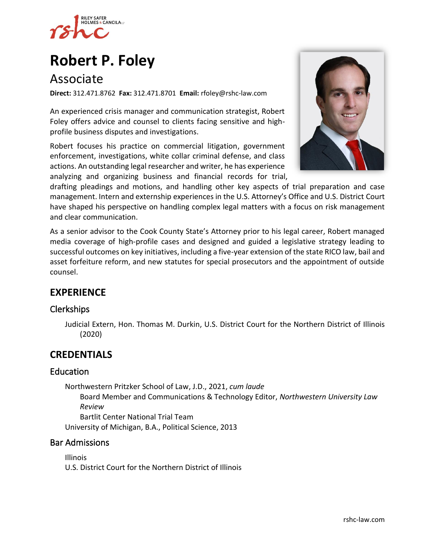

# **[Robert P. Foley](https://www.rshc-law.com/attorneys/attorney/robert-p.-foley)**

# Associate

**Direct:** 312.471.8762 **Fax:** 312.471.8701 **Email:** rfoley@rshc-law.com

An experienced crisis manager and communication strategist, Robert Foley offers advice and counsel to clients facing sensitive and highprofile business disputes and investigations.

Robert focuses his practice on commercial litigation, government enforcement, investigations, white collar criminal defense, and class actions. An outstanding legal researcher and writer, he has experience analyzing and organizing business and financial records for trial,



drafting pleadings and motions, and handling other key aspects of trial preparation and case management. Intern and externship experiences in the U.S. Attorney's Office and U.S. District Court have shaped his perspective on handling complex legal matters with a focus on risk management and clear communication.

As a senior advisor to the Cook County State's Attorney prior to his legal career, Robert managed media coverage of high-profile cases and designed and guided a legislative strategy leading to successful outcomes on key initiatives, including a five-year extension of the state RICO law, bail and asset forfeiture reform, and new statutes for special prosecutors and the appointment of outside counsel.

## **EXPERIENCE**

### Clerkships

Judicial Extern, Hon. Thomas M. Durkin, U.S. District Court for the Northern District of Illinois (2020)

## **CREDENTIALS**

### Education

Northwestern Pritzker School of Law, J.D., 2021, *cum laude* Board Member and Communications & Technology Editor, *Northwestern University Law Review* Bartlit Center National Trial Team

University of Michigan, B.A., Political Science, 2013

### Bar Admissions

Illinois U.S. District Court for the Northern District of Illinois